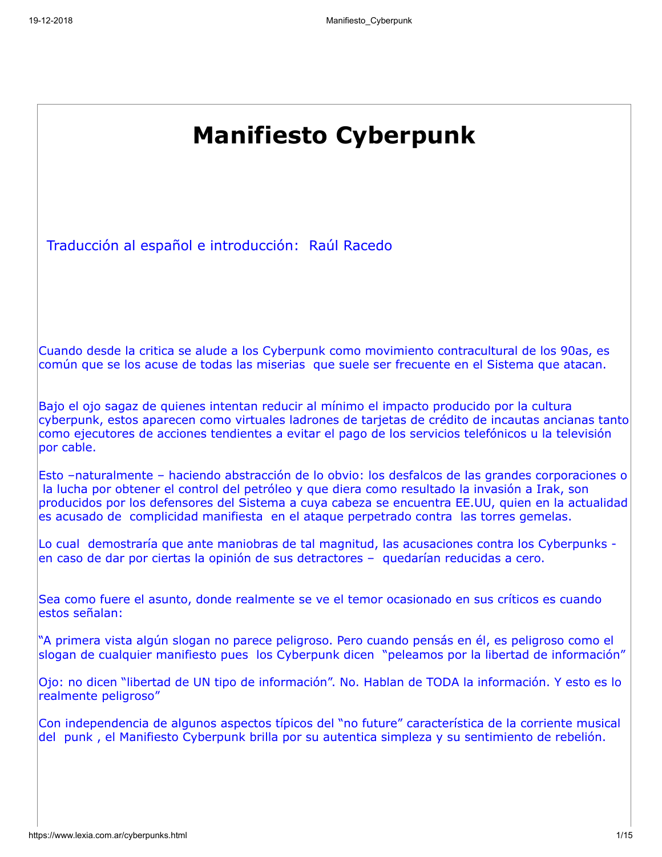| <b>Manifiesto Cyberpunk</b>                                                                                                                                                                                                                                                                                                                                                                             |
|---------------------------------------------------------------------------------------------------------------------------------------------------------------------------------------------------------------------------------------------------------------------------------------------------------------------------------------------------------------------------------------------------------|
| Traducción al español e introducción: Raúl Racedo                                                                                                                                                                                                                                                                                                                                                       |
| Cuando desde la critica se alude a los Cyberpunk como movimiento contracultural de los 90as, es<br>común que se los acuse de todas las miserias que suele ser frecuente en el Sistema que atacan.                                                                                                                                                                                                       |
| Bajo el ojo sagaz de quienes intentan reducir al mínimo el impacto producido por la cultura<br>cyberpunk, estos aparecen como virtuales ladrones de tarjetas de crédito de incautas ancianas tanto<br>como ejecutores de acciones tendientes a evitar el pago de los servicios telefónicos u la televisión<br>por cable.                                                                                |
| Esto -naturalmente - haciendo abstracción de lo obvio: los desfalcos de las grandes corporaciones o<br>la lucha por obtener el control del petróleo y que diera como resultado la invasión a Irak, son<br>producidos por los defensores del Sistema a cuya cabeza se encuentra EE.UU, quien en la actualidad<br>es acusado de complicidad manifiesta en el ataque perpetrado contra las torres gemelas. |
| Lo cual demostraría que ante maniobras de tal magnitud, las acusaciones contra los Cyberpunks -<br>en caso de dar por ciertas la opinión de sus detractores - quedarían reducidas a cero.                                                                                                                                                                                                               |
| Sea como fuere el asunto, donde realmente se ve el temor ocasionado en sus críticos es cuando<br>estos señalan:                                                                                                                                                                                                                                                                                         |
| "A primera vista algún slogan no parece peligroso. Pero cuando pensás en él, es peligroso como el<br>slogan de cualquier manifiesto pues los Cyberpunk dicen "peleamos por la libertad de información"                                                                                                                                                                                                  |
| Ojo: no dicen "libertad de UN tipo de información". No. Hablan de TODA la información. Y esto es lo<br>realmente peligroso"                                                                                                                                                                                                                                                                             |
| Con independencia de algunos aspectos típicos del "no future" característica de la corriente musical<br>del punk, el Manifiesto Cyberpunk brilla por su autentica simpleza y su sentimiento de rebelión.                                                                                                                                                                                                |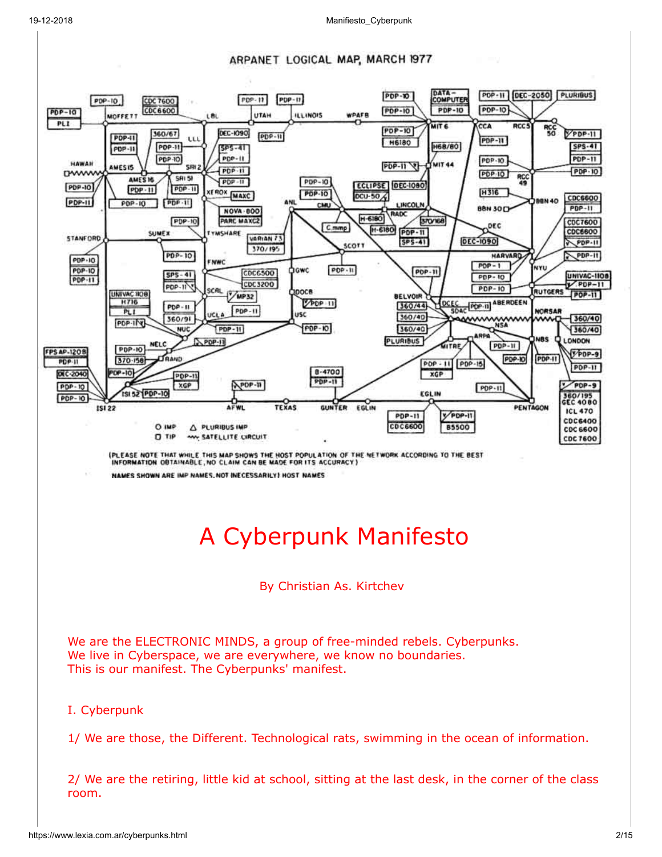#### ARPANET LOGICAL MAP, MARCH 1977

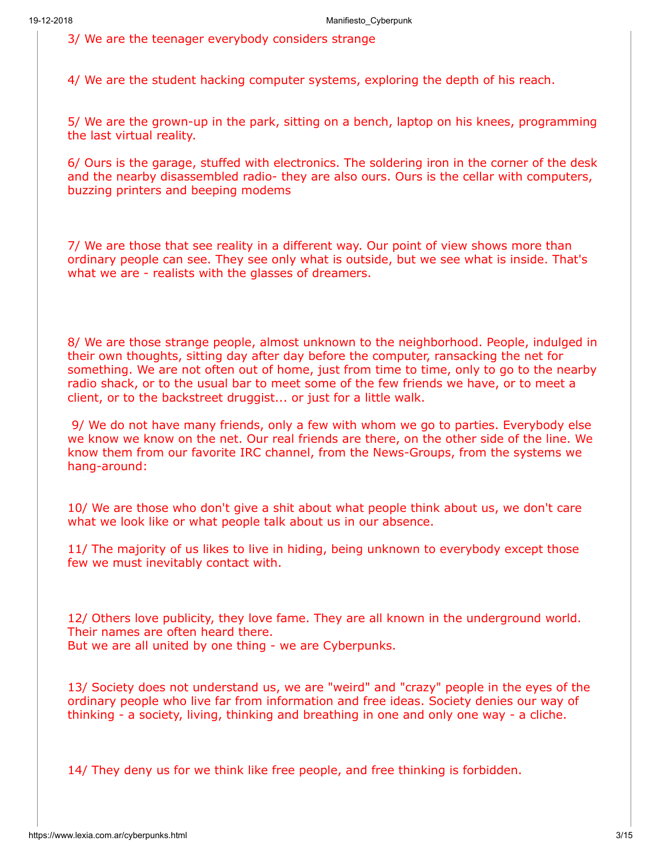3/ We are the teenager everybody considers strange

4/ We are the student hacking computer systems, exploring the depth of his reach.

5/ We are the grown-up in the park, sitting on a bench, laptop on his knees, programming the last virtual reality.

6/ Ours is the garage, stuffed with electronics. The soldering iron in the corner of the desk and the nearby disassembled radio- they are also ours. Ours is the cellar with computers, buzzing printers and beeping modems

7/ We are those that see reality in a different way. Our point of view shows more than ordinary people can see. They see only what is outside, but we see what is inside. That's what we are - realists with the glasses of dreamers.

8/ We are those strange people, almost unknown to the neighborhood. People, indulged in their own thoughts, sitting day after day before the computer, ransacking the net for something. We are not often out of home, just from time to time, only to go to the nearby radio shack, or to the usual bar to meet some of the few friends we have, or to meet a client, or to the backstreet druggist... or just for a little walk.

 9/ We do not have many friends, only a few with whom we go to parties. Everybody else we know we know on the net. Our real friends are there, on the other side of the line. We know them from our favorite IRC channel, from the News-Groups, from the systems we hang-around:

10/ We are those who don't give a shit about what people think about us, we don't care what we look like or what people talk about us in our absence.

11/ The majority of us likes to live in hiding, being unknown to everybody except those few we must inevitably contact with.

12/ Others love publicity, they love fame. They are all known in the underground world. Their names are often heard there. But we are all united by one thing - we are Cyberpunks.

13/ Society does not understand us, we are "weird" and "crazy" people in the eyes of the ordinary people who live far from information and free ideas. Society denies our way of thinking - a society, living, thinking and breathing in one and only one way - a cliche.

14/ They deny us for we think like free people, and free thinking is forbidden.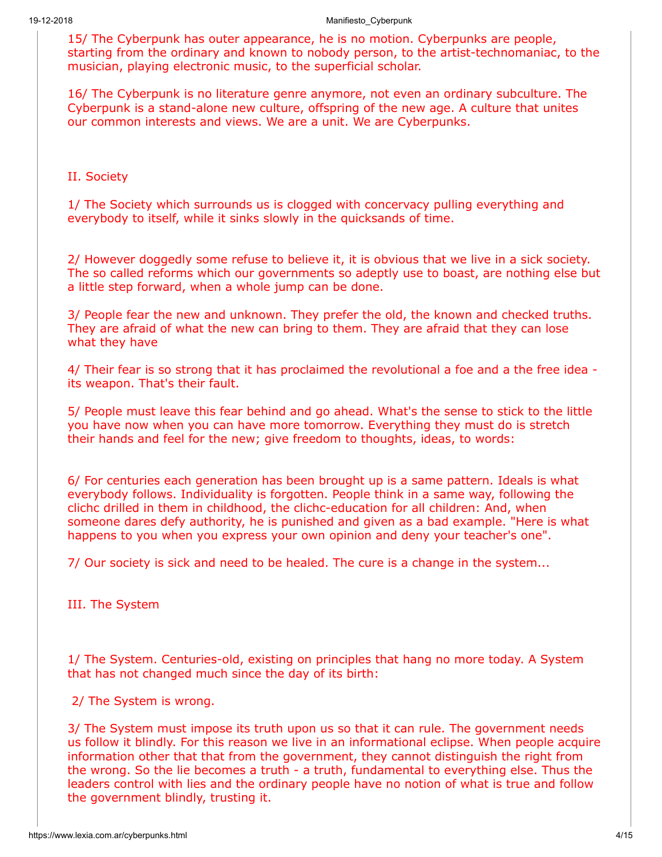15/ The Cyberpunk has outer appearance, he is no motion. Cyberpunks are people, starting from the ordinary and known to nobody person, to the artist-technomaniac, to the musician, playing electronic music, to the superficial scholar.

16/ The Cyberpunk is no literature genre anymore, not even an ordinary subculture. The Cyberpunk is a stand-alone new culture, offspring of the new age. A culture that unites our common interests and views. We are a unit. We are Cyberpunks.

II. Society

1/ The Society which surrounds us is clogged with concervacy pulling everything and everybody to itself, while it sinks slowly in the quicksands of time.

2/ However doggedly some refuse to believe it, it is obvious that we live in a sick society. The so called reforms which our governments so adeptly use to boast, are nothing else but a little step forward, when a whole jump can be done.

3/ People fear the new and unknown. They prefer the old, the known and checked truths. They are afraid of what the new can bring to them. They are afraid that they can lose what they have

4/ Their fear is so strong that it has proclaimed the revolutional a foe and a the free idea its weapon. That's their fault.

5/ People must leave this fear behind and go ahead. What's the sense to stick to the little you have now when you can have more tomorrow. Everything they must do is stretch their hands and feel for the new; give freedom to thoughts, ideas, to words:

6/ For centuries each generation has been brought up is a same pattern. Ideals is what everybody follows. Individuality is forgotten. People think in a same way, following the clichc drilled in them in childhood, the clichc-education for all children: And, when someone dares defy authority, he is punished and given as a bad example. "Here is what happens to you when you express your own opinion and deny your teacher's one".

7/ Our society is sick and need to be healed. The cure is a change in the system...

III. The System

1/ The System. Centuries-old, existing on principles that hang no more today. A System that has not changed much since the day of its birth:

2/ The System is wrong.

3/ The System must impose its truth upon us so that it can rule. The government needs us follow it blindly. For this reason we live in an informational eclipse. When people acquire information other that that from the government, they cannot distinguish the right from the wrong. So the lie becomes a truth - a truth, fundamental to everything else. Thus the leaders control with lies and the ordinary people have no notion of what is true and follow the government blindly, trusting it.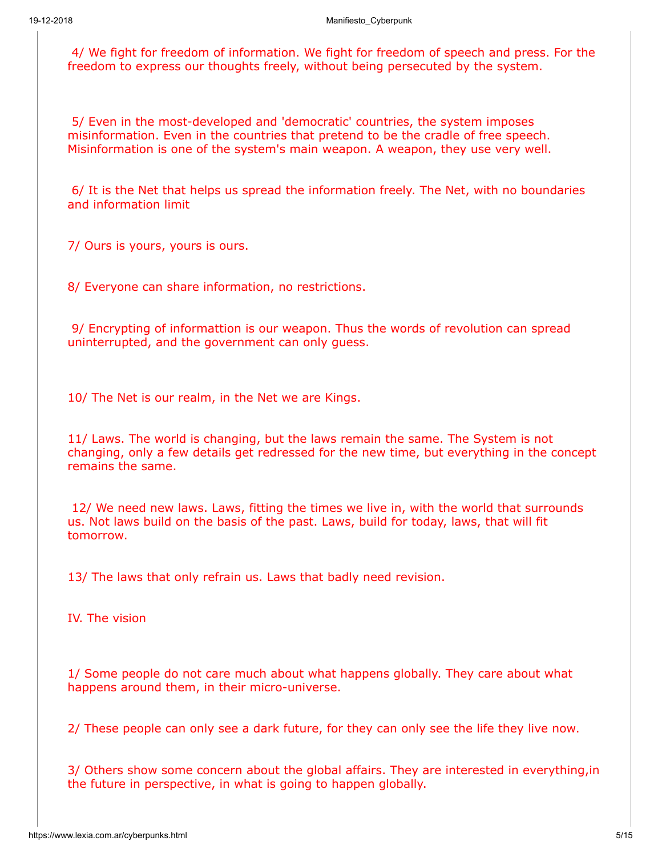4/ We fight for freedom of information. We fight for freedom of speech and press. For the freedom to express our thoughts freely, without being persecuted by the system.

 5/ Even in the most-developed and 'democratic' countries, the system imposes misinformation. Even in the countries that pretend to be the cradle of free speech. Misinformation is one of the system's main weapon. A weapon, they use very well.

 6/ It is the Net that helps us spread the information freely. The Net, with no boundaries and information limit

7/ Ours is yours, yours is ours.

8/ Everyone can share information, no restrictions.

 9/ Encrypting of informattion is our weapon. Thus the words of revolution can spread uninterrupted, and the government can only guess.

10/ The Net is our realm, in the Net we are Kings.

11/ Laws. The world is changing, but the laws remain the same. The System is not changing, only a few details get redressed for the new time, but everything in the concept remains the same.

 12/ We need new laws. Laws, fitting the times we live in, with the world that surrounds us. Not laws build on the basis of the past. Laws, build for today, laws, that will fit tomorrow.

13/ The laws that only refrain us. Laws that badly need revision.

IV. The vision

1/ Some people do not care much about what happens globally. They care about what happens around them, in their micro-universe.

2/ These people can only see a dark future, for they can only see the life they live now.

3/ Others show some concern about the global affairs. They are interested in everything,in the future in perspective, in what is going to happen globally.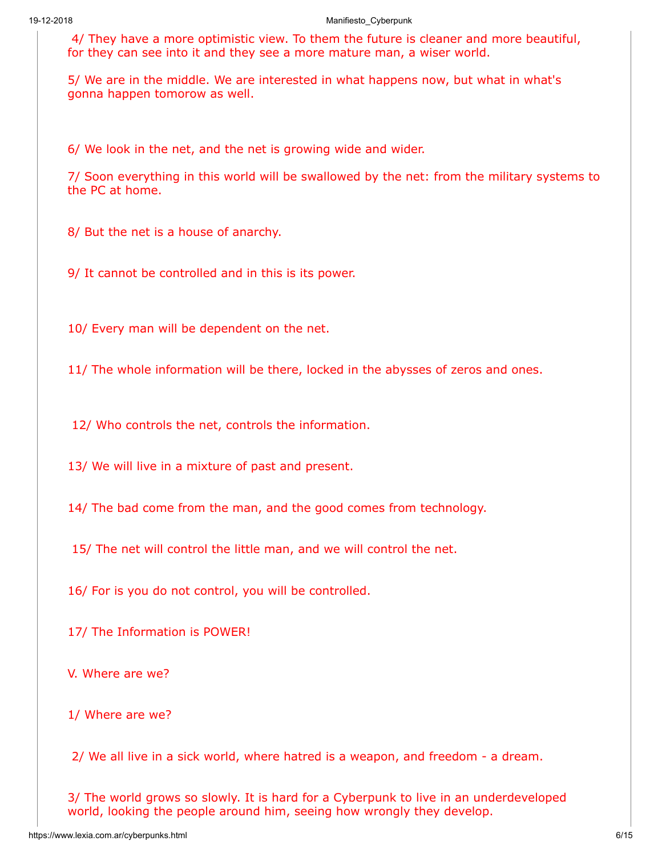4/ They have a more optimistic view. To them the future is cleaner and more beautiful, for they can see into it and they see a more mature man, a wiser world.

5/ We are in the middle. We are interested in what happens now, but what in what's gonna happen tomorow as well.

6/ We look in the net, and the net is growing wide and wider.

7/ Soon everything in this world will be swallowed by the net: from the military systems to the PC at home.

8/ But the net is a house of anarchy.

9/ It cannot be controlled and in this is its power.

10/ Every man will be dependent on the net.

11/ The whole information will be there, locked in the abysses of zeros and ones.

12/ Who controls the net, controls the information.

13/ We will live in a mixture of past and present.

14/ The bad come from the man, and the good comes from technology.

15/ The net will control the little man, and we will control the net.

16/ For is you do not control, you will be controlled.

17/ The Information is POWER!

V. Where are we?

1/ Where are we?

2/ We all live in a sick world, where hatred is a weapon, and freedom - a dream.

3/ The world grows so slowly. It is hard for a Cyberpunk to live in an underdeveloped world, looking the people around him, seeing how wrongly they develop.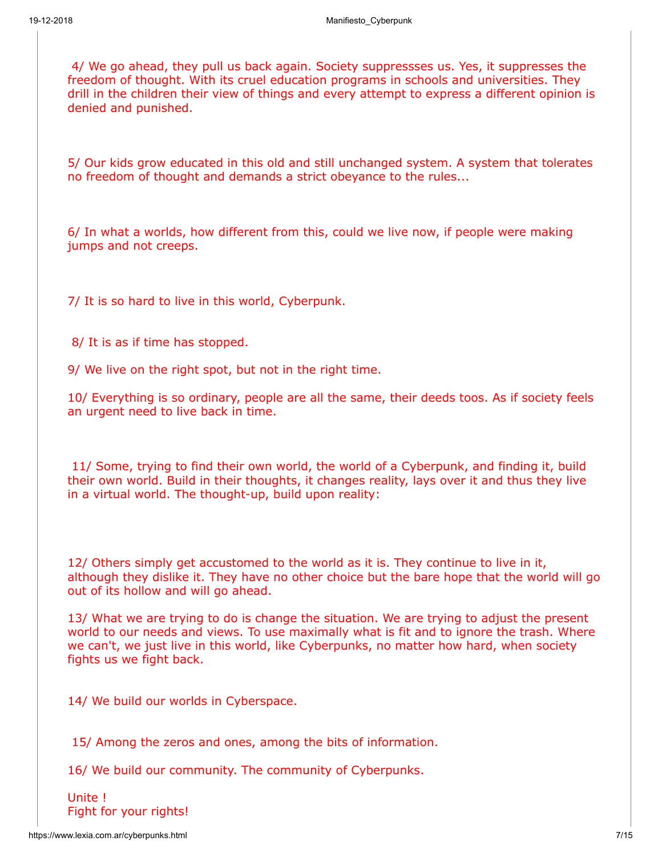4/ We go ahead, they pull us back again. Society suppressses us. Yes, it suppresses the freedom of thought. With its cruel education programs in schools and universities. They drill in the children their view of things and every attempt to express a different opinion is denied and punished.

5/ Our kids grow educated in this old and still unchanged system. A system that tolerates no freedom of thought and demands a strict obeyance to the rules...

6/ In what a worlds, how different from this, could we live now, if people were making jumps and not creeps.

7/ It is so hard to live in this world, Cyberpunk.

8/ It is as if time has stopped.

9/ We live on the right spot, but not in the right time.

10/ Everything is so ordinary, people are all the same, their deeds toos. As if society feels an urgent need to live back in time.

 11/ Some, trying to find their own world, the world of a Cyberpunk, and finding it, build their own world. Build in their thoughts, it changes reality, lays over it and thus they live in a virtual world. The thought-up, build upon reality:

12/ Others simply get accustomed to the world as it is. They continue to live in it, although they dislike it. They have no other choice but the bare hope that the world will go out of its hollow and will go ahead.

13/ What we are trying to do is change the situation. We are trying to adjust the present world to our needs and views. To use maximally what is fit and to ignore the trash. Where we can't, we just live in this world, like Cyberpunks, no matter how hard, when society fights us we fight back.

14/ We build our worlds in Cyberspace.

15/ Among the zeros and ones, among the bits of information.

16/ We build our community. The community of Cyberpunks.

Unite ! Fight for your rights!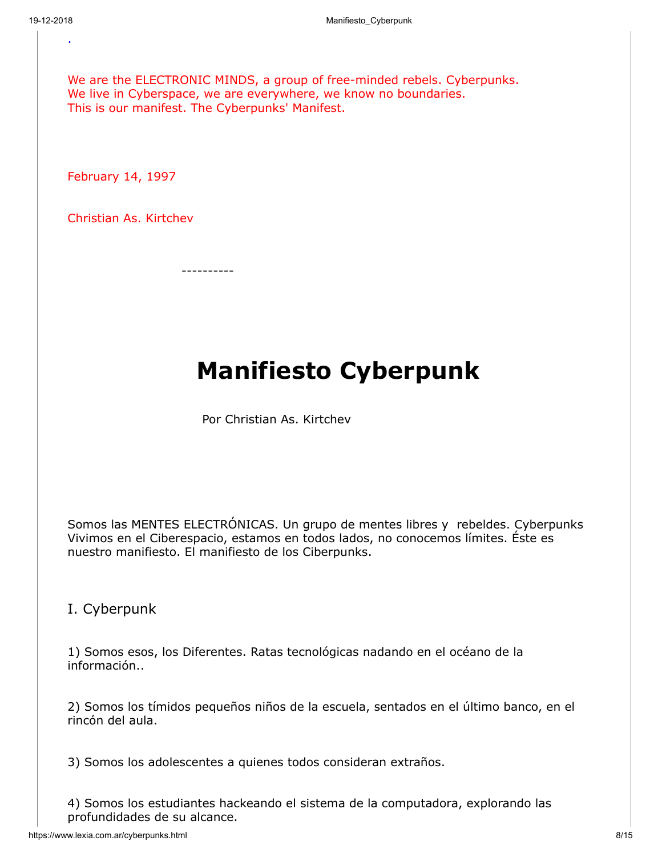.

We are the ELECTRONIC MINDS, a group of free-minded rebels. Cyberpunks. We live in Cyberspace, we are everywhere, we know no boundaries. This is our manifest. The Cyberpunks' Manifest.

February 14, 1997

Christian As. Kirtchev

----------

# **Manifiesto Cyberpunk**

Por Christian As. Kirtchev

Somos las MENTES ELECTRÓNICAS. Un grupo de mentes libres y rebeldes. Cyberpunks Vivimos en el Ciberespacio, estamos en todos lados, no conocemos límites. Éste es nuestro manifiesto. El manifiesto de los Ciberpunks.

I. Cyberpunk

1) Somos esos, los Diferentes. Ratas tecnológicas nadando en el océano de la información..

2) Somos los tímidos pequeños niños de la escuela, sentados en el último banco, en el rincón del aula.

3) Somos los adolescentes a quienes todos consideran extraños.

4) Somos los estudiantes hackeando el sistema de la computadora, explorando las profundidades de su alcance.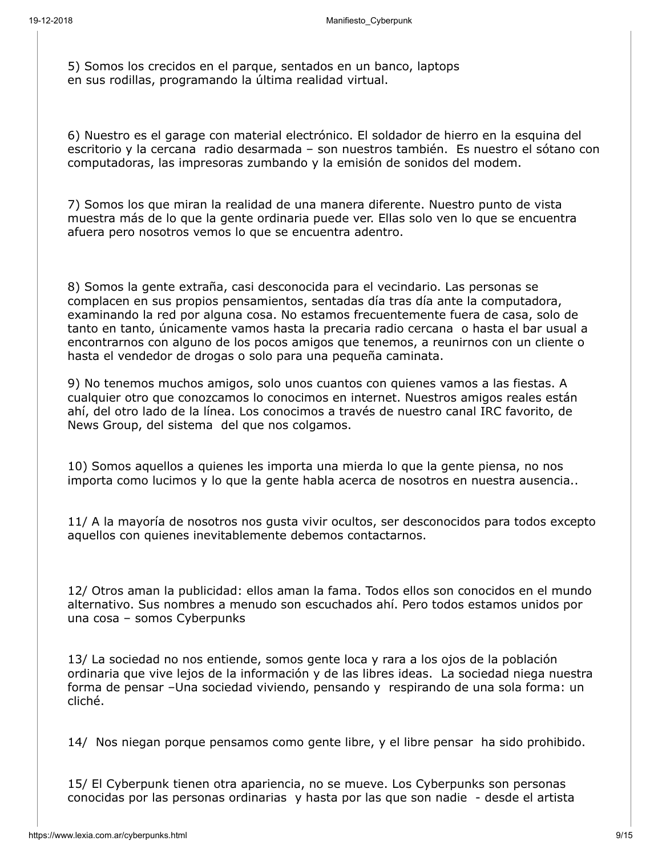5) Somos los crecidos en el parque, sentados en un banco, laptops en sus rodillas, programando la última realidad virtual.

6) Nuestro es el garage con material electrónico. El soldador de hierro en la esquina del escritorio y la cercana radio desarmada – son nuestros también. Es nuestro el sótano con computadoras, las impresoras zumbando y la emisión de sonidos del modem.

7) Somos los que miran la realidad de una manera diferente. Nuestro punto de vista muestra más de lo que la gente ordinaria puede ver. Ellas solo ven lo que se encuentra afuera pero nosotros vemos lo que se encuentra adentro.

8) Somos la gente extraña, casi desconocida para el vecindario. Las personas se complacen en sus propios pensamientos, sentadas día tras día ante la computadora, examinando la red por alguna cosa. No estamos frecuentemente fuera de casa, solo de tanto en tanto, únicamente vamos hasta la precaria radio cercana o hasta el bar usual a encontrarnos con alguno de los pocos amigos que tenemos, a reunirnos con un cliente o hasta el vendedor de drogas o solo para una pequeña caminata.

9) No tenemos muchos amigos, solo unos cuantos con quienes vamos a las fiestas. A cualquier otro que conozcamos lo conocimos en internet. Nuestros amigos reales están ahí, del otro lado de la línea. Los conocimos a través de nuestro canal IRC favorito, de News Group, del sistema del que nos colgamos.

10) Somos aquellos a quienes les importa una mierda lo que la gente piensa, no nos importa como lucimos y lo que la gente habla acerca de nosotros en nuestra ausencia..

11/ A la mayoría de nosotros nos gusta vivir ocultos, ser desconocidos para todos excepto aquellos con quienes inevitablemente debemos contactarnos.

12/ Otros aman la publicidad: ellos aman la fama. Todos ellos son conocidos en el mundo alternativo. Sus nombres a menudo son escuchados ahí. Pero todos estamos unidos por una cosa – somos Cyberpunks

13/ La sociedad no nos entiende, somos gente loca y rara a los ojos de la población ordinaria que vive lejos de la información y de las libres ideas. La sociedad niega nuestra forma de pensar –Una sociedad viviendo, pensando y respirando de una sola forma: un cliché.

14/ Nos niegan porque pensamos como gente libre, y el libre pensar ha sido prohibido.

15/ El Cyberpunk tienen otra apariencia, no se mueve. Los Cyberpunks son personas conocidas por las personas ordinarias y hasta por las que son nadie - desde el artista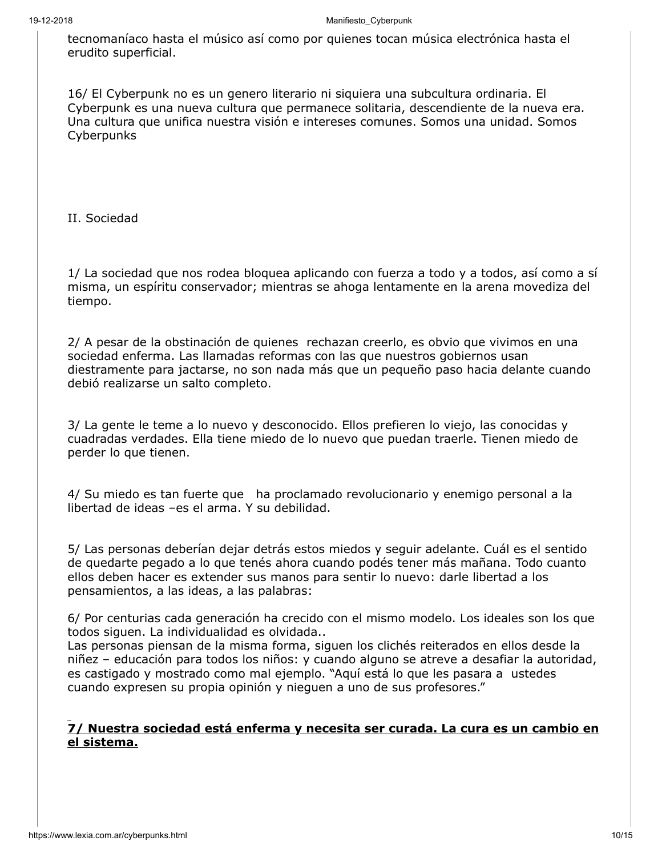tecnomaníaco hasta el músico así como por quienes tocan música electrónica hasta el erudito superficial.

16/ El Cyberpunk no es un genero literario ni siquiera una subcultura ordinaria. El Cyberpunk es una nueva cultura que permanece solitaria, descendiente de la nueva era. Una cultura que unifica nuestra visión e intereses comunes. Somos una unidad. Somos **Cyberpunks** 

II. Sociedad

1/ La sociedad que nos rodea bloquea aplicando con fuerza a todo y a todos, así como a sí misma, un espíritu conservador; mientras se ahoga lentamente en la arena movediza del tiempo.

2/ A pesar de la obstinación de quienes rechazan creerlo, es obvio que vivimos en una sociedad enferma. Las llamadas reformas con las que nuestros gobiernos usan diestramente para jactarse, no son nada más que un pequeño paso hacia delante cuando debió realizarse un salto completo.

3/ La gente le teme a lo nuevo y desconocido. Ellos prefieren lo viejo, las conocidas y cuadradas verdades. Ella tiene miedo de lo nuevo que puedan traerle. Tienen miedo de perder lo que tienen.

4/ Su miedo es tan fuerte que ha proclamado revolucionario y enemigo personal a la libertad de ideas –es el arma. Y su debilidad.

5/ Las personas deberían dejar detrás estos miedos y seguir adelante. Cuál es el sentido de quedarte pegado a lo que tenés ahora cuando podés tener más mañana. Todo cuanto ellos deben hacer es extender sus manos para sentir lo nuevo: darle libertad a los pensamientos, a las ideas, a las palabras:

6/ Por centurias cada generación ha crecido con el mismo modelo. Los ideales son los que todos siguen. La individualidad es olvidada..

Las personas piensan de la misma forma, siguen los clichés reiterados en ellos desde la niñez – educación para todos los niños: y cuando alguno se atreve a desafiar la autoridad, es castigado y mostrado como mal ejemplo. "Aquí está lo que les pasara a ustedes cuando expresen su propia opinión y nieguen a uno de sus profesores."

#### **7/ Nuestra sociedad está enferma y necesita ser curada. La cura es un cambio en el sistema.**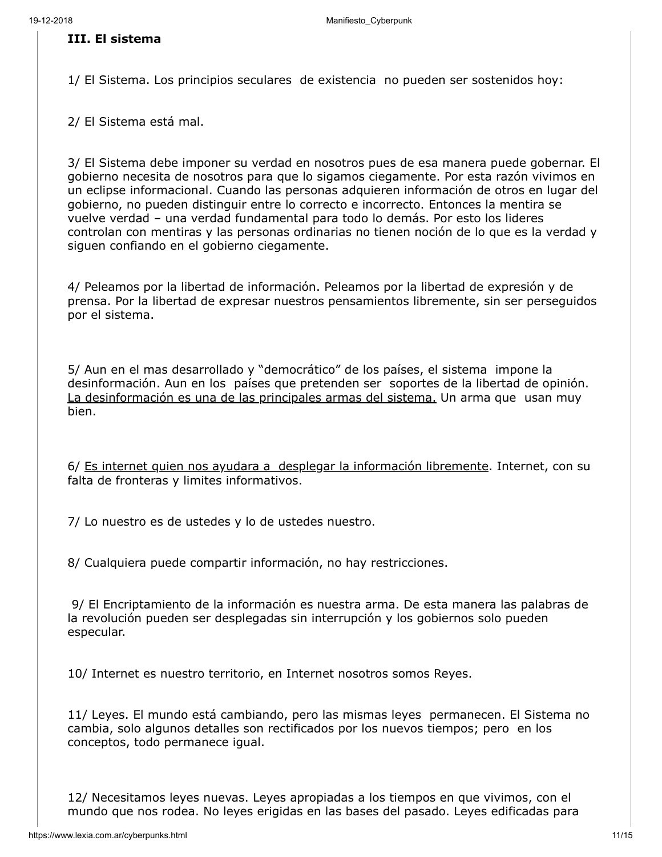#### **III. El sistema**

1/ El Sistema. Los principios seculares de existencia no pueden ser sostenidos hoy:

2/ El Sistema está mal.

3/ El Sistema debe imponer su verdad en nosotros pues de esa manera puede gobernar. El gobierno necesita de nosotros para que lo sigamos ciegamente. Por esta razón vivimos en un eclipse informacional. Cuando las personas adquieren información de otros en lugar del gobierno, no pueden distinguir entre lo correcto e incorrecto. Entonces la mentira se vuelve verdad – una verdad fundamental para todo lo demás. Por esto los lideres controlan con mentiras y las personas ordinarias no tienen noción de lo que es la verdad y siguen confiando en el gobierno ciegamente.

4/ Peleamos por la libertad de información. Peleamos por la libertad de expresión y de prensa. Por la libertad de expresar nuestros pensamientos libremente, sin ser perseguidos por el sistema.

5/ Aun en el mas desarrollado y "democrático" de los países, el sistema impone la desinformación. Aun en los países que pretenden ser soportes de la libertad de opinión. La desinformación es una de las principales armas del sistema. Un arma que usan muy bien.

6/ Es internet quien nos ayudara a desplegar la información libremente. Internet, con su falta de fronteras y limites informativos.

7/ Lo nuestro es de ustedes y lo de ustedes nuestro.

8/ Cualquiera puede compartir información, no hay restricciones.

9/ El Encriptamiento de la información es nuestra arma. De esta manera las palabras de la revolución pueden ser desplegadas sin interrupción y los gobiernos solo pueden especular.

10/ Internet es nuestro territorio, en Internet nosotros somos Reyes.

11/ Leyes. El mundo está cambiando, pero las mismas leyes permanecen. El Sistema no cambia, solo algunos detalles son rectificados por los nuevos tiempos; pero en los conceptos, todo permanece igual.

12/ Necesitamos leyes nuevas. Leyes apropiadas a los tiempos en que vivimos, con el mundo que nos rodea. No leyes erigidas en las bases del pasado. Leyes edificadas para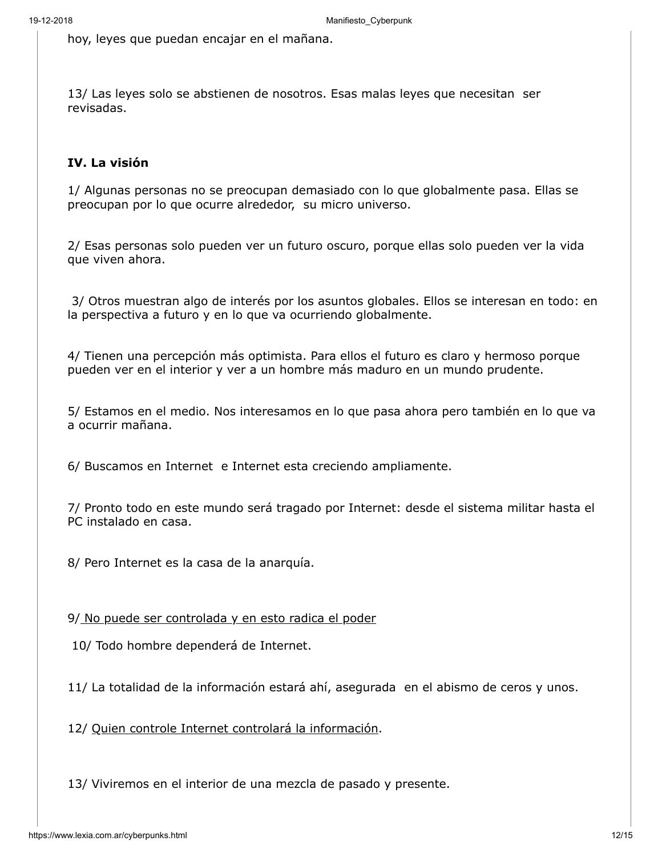hoy, leyes que puedan encajar en el mañana.

13/ Las leyes solo se abstienen de nosotros. Esas malas leyes que necesitan ser revisadas.

#### **IV. La visión**

1/ Algunas personas no se preocupan demasiado con lo que globalmente pasa. Ellas se preocupan por lo que ocurre alrededor, su micro universo.

2/ Esas personas solo pueden ver un futuro oscuro, porque ellas solo pueden ver la vida que viven ahora.

 3/ Otros muestran algo de interés por los asuntos globales. Ellos se interesan en todo: en la perspectiva a futuro y en lo que va ocurriendo globalmente.

4/ Tienen una percepción más optimista. Para ellos el futuro es claro y hermoso porque pueden ver en el interior y ver a un hombre más maduro en un mundo prudente.

5/ Estamos en el medio. Nos interesamos en lo que pasa ahora pero también en lo que va a ocurrir mañana.

6/ Buscamos en Internet e Internet esta creciendo ampliamente.

7/ Pronto todo en este mundo será tragado por Internet: desde el sistema militar hasta el PC instalado en casa.

8/ Pero Internet es la casa de la anarquía.

9/ No puede ser controlada y en esto radica el poder

10/ Todo hombre dependerá de Internet.

11/ La totalidad de la información estará ahí, asegurada en el abismo de ceros y unos.

12/ Quien controle Internet controlará la información.

13/ Viviremos en el interior de una mezcla de pasado y presente.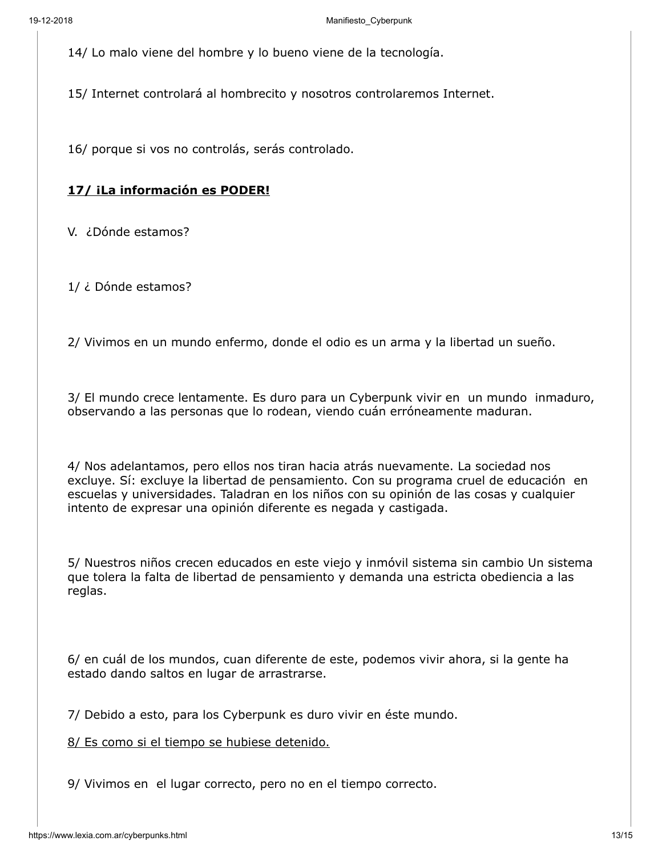14/ Lo malo viene del hombre y lo bueno viene de la tecnología.

15/ Internet controlará al hombrecito y nosotros controlaremos Internet.

16/ porque si vos no controlás, serás controlado.

### **17/ ¡La información es PODER!**

V. ¿Dónde estamos?

1/ ¿ Dónde estamos?

2/ Vivimos en un mundo enfermo, donde el odio es un arma y la libertad un sueño.

3/ El mundo crece lentamente. Es duro para un Cyberpunk vivir en un mundo inmaduro, observando a las personas que lo rodean, viendo cuán erróneamente maduran.

4/ Nos adelantamos, pero ellos nos tiran hacia atrás nuevamente. La sociedad nos excluye. Sí: excluye la libertad de pensamiento. Con su programa cruel de educación en escuelas y universidades. Taladran en los niños con su opinión de las cosas y cualquier intento de expresar una opinión diferente es negada y castigada.

5/ Nuestros niños crecen educados en este viejo y inmóvil sistema sin cambio Un sistema que tolera la falta de libertad de pensamiento y demanda una estricta obediencia a las reglas.

6/ en cuál de los mundos, cuan diferente de este, podemos vivir ahora, si la gente ha estado dando saltos en lugar de arrastrarse.

7/ Debido a esto, para los Cyberpunk es duro vivir en éste mundo.

8/ Es como si el tiempo se hubiese detenido.

9/ Vivimos en el lugar correcto, pero no en el tiempo correcto.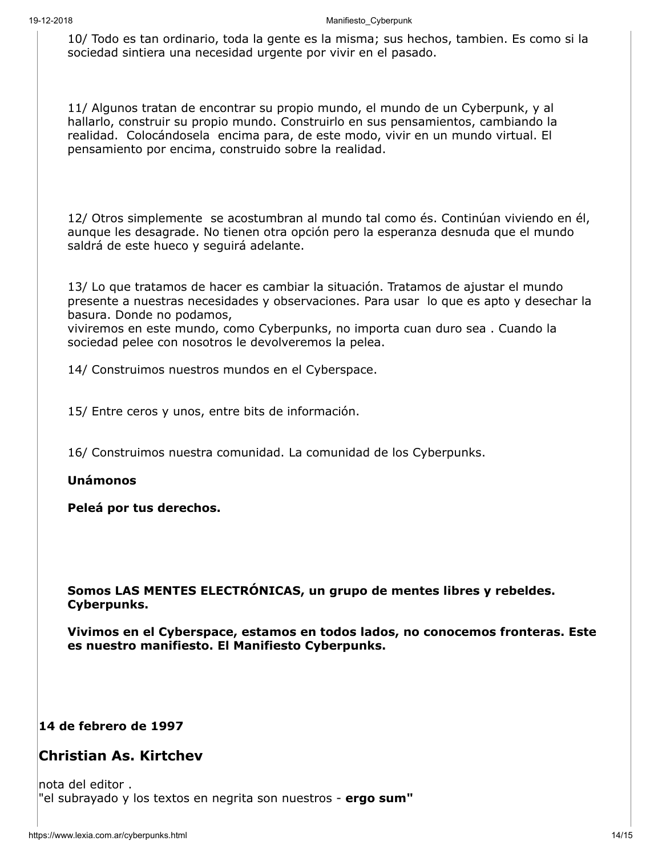10/ Todo es tan ordinario, toda la gente es la misma; sus hechos, tambien. Es como si la sociedad sintiera una necesidad urgente por vivir en el pasado.

11/ Algunos tratan de encontrar su propio mundo, el mundo de un Cyberpunk, y al hallarlo, construir su propio mundo. Construirlo en sus pensamientos, cambiando la realidad. Colocándosela encima para, de este modo, vivir en un mundo virtual. El pensamiento por encima, construido sobre la realidad.

12/ Otros simplemente se acostumbran al mundo tal como és. Continúan viviendo en él, aunque les desagrade. No tienen otra opción pero la esperanza desnuda que el mundo saldrá de este hueco y seguirá adelante.

13/ Lo que tratamos de hacer es cambiar la situación. Tratamos de ajustar el mundo presente a nuestras necesidades y observaciones. Para usar lo que es apto y desechar la basura. Donde no podamos,

viviremos en este mundo, como Cyberpunks, no importa cuan duro sea . Cuando la sociedad pelee con nosotros le devolveremos la pelea.

14/ Construimos nuestros mundos en el Cyberspace.

15/ Entre ceros y unos, entre bits de información.

16/ Construimos nuestra comunidad. La comunidad de los Cyberpunks.

**Unámonos** 

**Peleá por tus derechos.**

**Somos LAS MENTES ELECTRÓNICAS, un grupo de mentes libres y rebeldes. Cyberpunks.**

**Vivimos en el Cyberspace, estamos en todos lados, no conocemos fronteras. Este es nuestro manifiesto. El Manifiesto Cyberpunks.**

#### **14 de febrero de 1997**

## **Christian As. Kirtchev**

nota del editor . "el subrayado y los textos en negrita son nuestros - **ergo sum"**